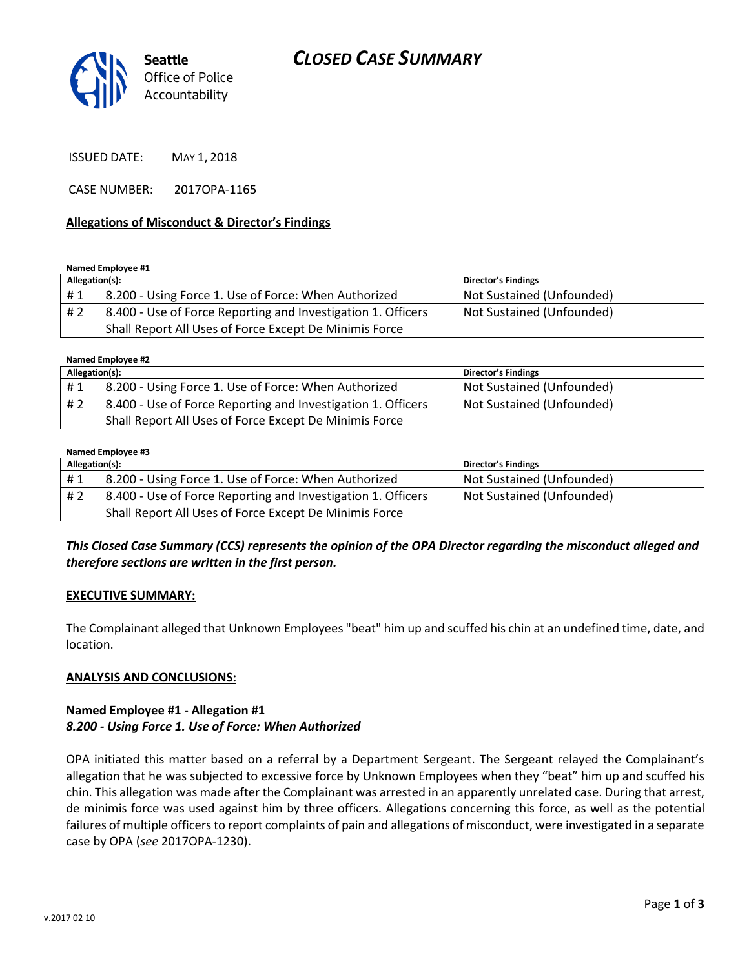#### **Seattle** *Office of Police CLOSED CASE SUMMARY*

ISSUED DATE: MAY 1, 2018

CASE NUMBER: 2017OPA-1165

### **Allegations of Misconduct & Director's Findings**

*Accountability*

#### **Named Employee #1**

| Allegation(s): |                                                              | Director's Findings       |
|----------------|--------------------------------------------------------------|---------------------------|
| #1             | 8.200 - Using Force 1. Use of Force: When Authorized         | Not Sustained (Unfounded) |
| #2             | 8.400 - Use of Force Reporting and Investigation 1. Officers | Not Sustained (Unfounded) |
|                | Shall Report All Uses of Force Except De Minimis Force       |                           |

**Named Employee #2**

| Allegation(s): |                                                              | <b>Director's Findings</b> |
|----------------|--------------------------------------------------------------|----------------------------|
| #1             | 8.200 - Using Force 1. Use of Force: When Authorized         | Not Sustained (Unfounded)  |
| #2             | 8.400 - Use of Force Reporting and Investigation 1. Officers | Not Sustained (Unfounded)  |
|                | Shall Report All Uses of Force Except De Minimis Force       |                            |

### **Named Employee #3**

| Allegation(s): |                                                              | Director's Findings       |
|----------------|--------------------------------------------------------------|---------------------------|
| #1             | 8.200 - Using Force 1. Use of Force: When Authorized         | Not Sustained (Unfounded) |
| # 2            | 8.400 - Use of Force Reporting and Investigation 1. Officers | Not Sustained (Unfounded) |
|                | Shall Report All Uses of Force Except De Minimis Force       |                           |

## *This Closed Case Summary (CCS) represents the opinion of the OPA Director regarding the misconduct alleged and therefore sections are written in the first person.*

### **EXECUTIVE SUMMARY:**

The Complainant alleged that Unknown Employees "beat" him up and scuffed his chin at an undefined time, date, and location.

### **ANALYSIS AND CONCLUSIONS:**

## **Named Employee #1 - Allegation #1** *8.200 - Using Force 1. Use of Force: When Authorized*

OPA initiated this matter based on a referral by a Department Sergeant. The Sergeant relayed the Complainant's allegation that he was subjected to excessive force by Unknown Employees when they "beat" him up and scuffed his chin. This allegation was made after the Complainant was arrested in an apparently unrelated case. During that arrest, de minimis force was used against him by three officers. Allegations concerning this force, as well as the potential failures of multiple officers to report complaints of pain and allegations of misconduct, were investigated in a separate case by OPA (*see* 2017OPA-1230).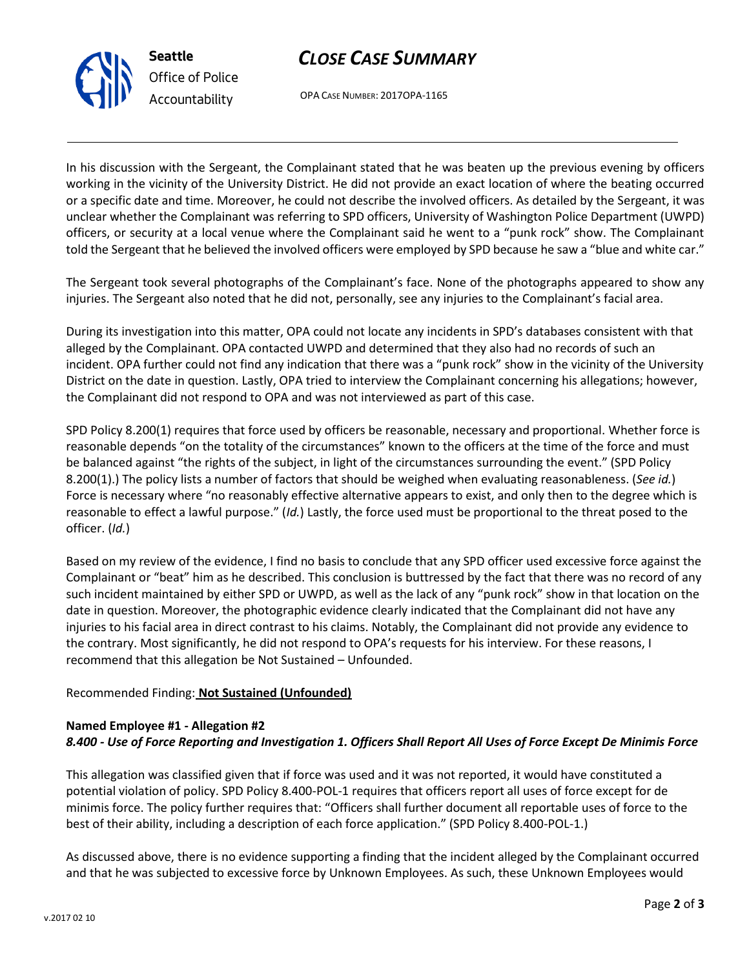# *CLOSE CASE SUMMARY*



OPA CASE NUMBER: 2017OPA-1165

In his discussion with the Sergeant, the Complainant stated that he was beaten up the previous evening by officers working in the vicinity of the University District. He did not provide an exact location of where the beating occurred or a specific date and time. Moreover, he could not describe the involved officers. As detailed by the Sergeant, it was unclear whether the Complainant was referring to SPD officers, University of Washington Police Department (UWPD) officers, or security at a local venue where the Complainant said he went to a "punk rock" show. The Complainant told the Sergeant that he believed the involved officers were employed by SPD because he saw a "blue and white car."

The Sergeant took several photographs of the Complainant's face. None of the photographs appeared to show any injuries. The Sergeant also noted that he did not, personally, see any injuries to the Complainant's facial area.

During its investigation into this matter, OPA could not locate any incidents in SPD's databases consistent with that alleged by the Complainant. OPA contacted UWPD and determined that they also had no records of such an incident. OPA further could not find any indication that there was a "punk rock" show in the vicinity of the University District on the date in question. Lastly, OPA tried to interview the Complainant concerning his allegations; however, the Complainant did not respond to OPA and was not interviewed as part of this case.

SPD Policy 8.200(1) requires that force used by officers be reasonable, necessary and proportional. Whether force is reasonable depends "on the totality of the circumstances" known to the officers at the time of the force and must be balanced against "the rights of the subject, in light of the circumstances surrounding the event." (SPD Policy 8.200(1).) The policy lists a number of factors that should be weighed when evaluating reasonableness. (*See id.*) Force is necessary where "no reasonably effective alternative appears to exist, and only then to the degree which is reasonable to effect a lawful purpose." (*Id.*) Lastly, the force used must be proportional to the threat posed to the officer. (*Id.*)

Based on my review of the evidence, I find no basis to conclude that any SPD officer used excessive force against the Complainant or "beat" him as he described. This conclusion is buttressed by the fact that there was no record of any such incident maintained by either SPD or UWPD, as well as the lack of any "punk rock" show in that location on the date in question. Moreover, the photographic evidence clearly indicated that the Complainant did not have any injuries to his facial area in direct contrast to his claims. Notably, the Complainant did not provide any evidence to the contrary. Most significantly, he did not respond to OPA's requests for his interview. For these reasons, I recommend that this allegation be Not Sustained – Unfounded.

# Recommended Finding: **Not Sustained (Unfounded)**

# **Named Employee #1 - Allegation #2** *8.400 - Use of Force Reporting and Investigation 1. Officers Shall Report All Uses of Force Except De Minimis Force*

This allegation was classified given that if force was used and it was not reported, it would have constituted a potential violation of policy. SPD Policy 8.400-POL-1 requires that officers report all uses of force except for de minimis force. The policy further requires that: "Officers shall further document all reportable uses of force to the best of their ability, including a description of each force application." (SPD Policy 8.400-POL-1.)

As discussed above, there is no evidence supporting a finding that the incident alleged by the Complainant occurred and that he was subjected to excessive force by Unknown Employees. As such, these Unknown Employees would